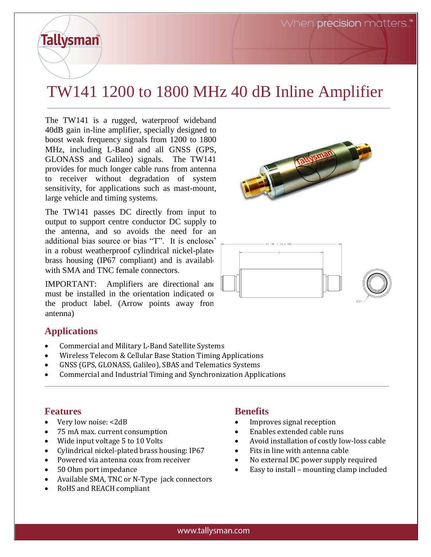## TW141 1200 to 1800 MHz 40 dB Inline Amplifier

The TW141 is a rugged, waterproof wideband 40dB gain in-line amplifier, specially designed to boost weak frequency signals from 1200 to 1800 MHz, including L-Band and all GNSS (GPS, GLONASS and Galileo) signals. The TW141 provides for much longer cable runs from antenna to receiver without degradation of system sensitivity, for applications such as mast-mount, large vehicle and timing systems.

The TW141 passes DC directly from input to output to support centre conductor DC supply to the antenna, and so avoids the need for an additional bias source or bias "T". It is enclosed in a robust weatherproof cylindrical nickel-plated brass housing (IP67 compliant) and is available with SMA and TNC female connectors.

IMPORTANT: Amplifiers are directional and must be installed in the orientation indicated on the product label. (Arrow points away from antenna)

## **Applications**

**Tallysman** 

- Commercial and Military L-Band Satellite Systems
- Wireless Telecom & Cellular Base Station Timing Applications
- GNSS (GPS, GLONASS, Galileo), SBAS and Telematics Systems
- Commercial and Industrial Timing and Synchronization Applications

## **Features**

- Very low noise: <2dB
- 75 mA max. current consumption
- Wide input voltage 5 to 10 Volts
- Cylindrical nickel-plated brass housing: IP67
- Powered via antenna coax from receiver
- 50 Ohm port impedance
- Available SMA, TNC or N-Type jack connectors
- RoHS and REACH compliant

## **Benefits**

- Improves signal reception
- Enables extended cable runs
- Avoid installation of costly low-loss cable
- Fits in line with antenna cable
- No external DC power supply required
- Easy to install mounting clamp included